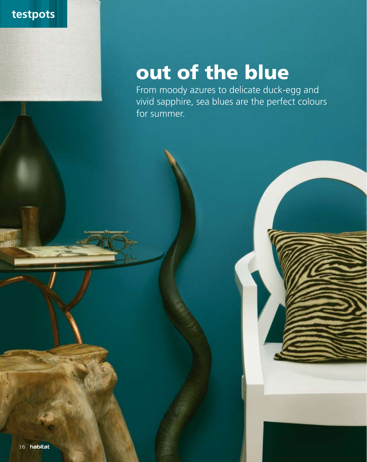

## out of the blue

From moody azures to delicate duck-egg and vivid sapphire, sea blues are the perfect colours for summer.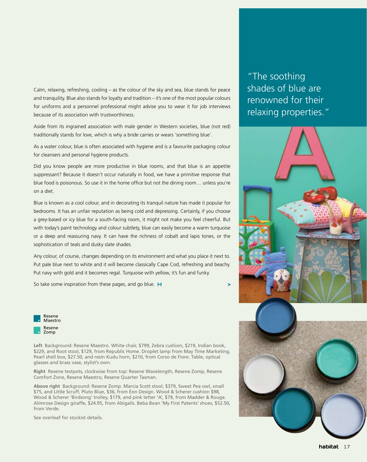Calm, relaxing, refreshing, cooling – as the colour of the sky and sea, blue stands for peace and tranquility. Blue also stands for loyalty and tradition – it's one of the most popular colours for uniforms and a personnel professional might advise you to wear it for job interviews because of its association with trustworthiness.

Aside from its ingrained association with male gender in Western societies, blue (not red) traditionally stands for love, which is why a bride carries or wears 'something blue'.

As a water colour, blue is often associated with hygiene and is a favourite packaging colour for cleansers and personal hygiene products.

Did you know people are more productive in blue rooms, and that blue is an appetite suppressant? Because it doesn't occur naturally in food, we have a primitive response that blue food is poisonous. So use it in the home office but not the dining room… unless you're on a diet.

Blue is known as a cool colour, and in decorating its tranquil nature has made it popular for bedrooms. It has an unfair reputation as being cold and depressing. Certainly, if you choose a grey-based or icy blue for a south-facing room, it might not make you feel cheerful. But with today's paint technology and colour subtlety, blue can easily become a warm turquoise or a deep and reassuring navy. It can have the richness of cobalt and lapis tones, or the sophistication of teals and dusky slate shades.

Any colour, of course, changes depending on its environment and what you place it next to. Put pale blue next to white and it will become classically Cape Cod, refreshing and beachy. Put navy with gold and it becomes regal. Turquoise with yellow, it's fun and funky.

So take some inspiration from these pages, and go blue.  $H$ 



**Left** Background: Resene Maestro. White chair, \$799, Zebra cushion, \$219, Indian book, \$229, and Root stool, \$129, from Republic Home. Droplet lamp from May Time Marketing. Pearl shell box, \$27.50, and resin Kudu horn, \$210, from Corso de Fiore. Table, optical glasses and brass vase, stylist's own.

**Right** Resene testpots, clockwise from top: Resene Wavelength, Resene Zomp, Resene Comfort Zone, Resene Maestro, Resene Quarter Tasman.

**Above right** Background: Resene Zomp. Marcia Scott stool, \$379, Sweet Pea owl, small \$75, and Little Scruff, Pluto Blue, \$36, from Eon Design. Wood & Scherer cushion \$98, Wood & Scherer 'Birdsong' trolley, \$179, and pink letter 'A', \$79, from Madder & Rouge. Alimrose Design giraffe, \$24.95, from Abigails. Beba Bean 'My First Patents' shoes, \$52.50, from Verde.

See overleaf for stockist details.

"The soothing shades of blue are renowned for their relaxing properties."



>